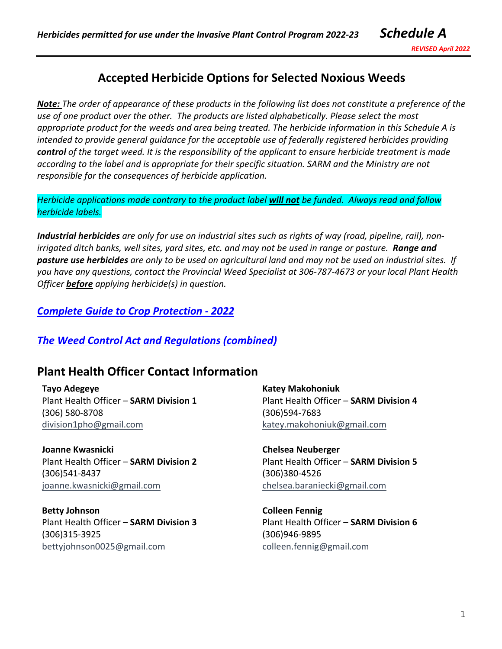*REVISED April 2022*

# **Accepted Herbicide Options for Selected Noxious Weeds**

*Note: The order of appearance of these products in the following list does not constitute a preference of the use of one product over the other. The products are listed alphabetically. Please select the most appropriate product for the weeds and area being treated. The herbicide information in this Schedule A is intended to provide general guidance for the acceptable use of federally registered herbicides providing control of the target weed. It is the responsibility of the applicant to ensure herbicide treatment is made according to the label and is appropriate for their specific situation. SARM and the Ministry are not responsible for the consequences of herbicide application.* 

*Herbicide applications made contrary to the product label will not be funded. Always read and follow herbicide labels.* 

*Industrial herbicides are only for use on industrial sites such as rights of way (road, pipeline, rail), nonirrigated ditch banks, well sites, yard sites, etc. and may not be used in range or pasture. Range and pasture use herbicides are only to be used on agricultural land and may not be used on industrial sites. If you have any questions, contact the Provincial Weed Specialist at 306-787-4673 or your local Plant Health Officer before applying herbicide(s) in question.* 

*[Complete Guide to Crop Protection](https://www.saskatchewan.ca/business/agriculture-natural-resources-and-industry/agribusiness-farmers-and-ranchers/crops-and-irrigation/crop-guides-and-publications/guide-to-crop-protection) - 2022*

### *[The Weed Control Act and Regulations \(combined\)](https://publications.saskatchewan.ca/#/products/31603)*

### **Plant Health Officer Contact Information**

| Tayo Adegeye                           | <b>Katey Makohoniuk</b>                |
|----------------------------------------|----------------------------------------|
| Plant Health Officer - SARM Division 1 | Plant Health Officer - SARM Division 4 |
| (306) 580-8708                         | (306)594-7683                          |
| division1pho@gmail.com                 | katey.makohoniuk@gmail.com             |
| Joanne Kwasnicki                       | <b>Chelsea Neuberger</b>               |
| Plant Health Officer - SARM Division 2 | Plant Health Officer - SARM Division 5 |
| (306)541-8437                          | (306)380-4526                          |
| joanne.kwasnicki@gmail.com             | chelsea.baraniecki@gmail.com           |
| <b>Betty Johnson</b>                   | <b>Colleen Fennig</b>                  |
| Plant Health Officer - SARM Division 3 | Plant Health Officer - SARM Division 6 |
| (306)315-3925                          | (306)946-9895                          |
| bettyjohnson0025@gmail.com             | colleen.fennig@gmail.com               |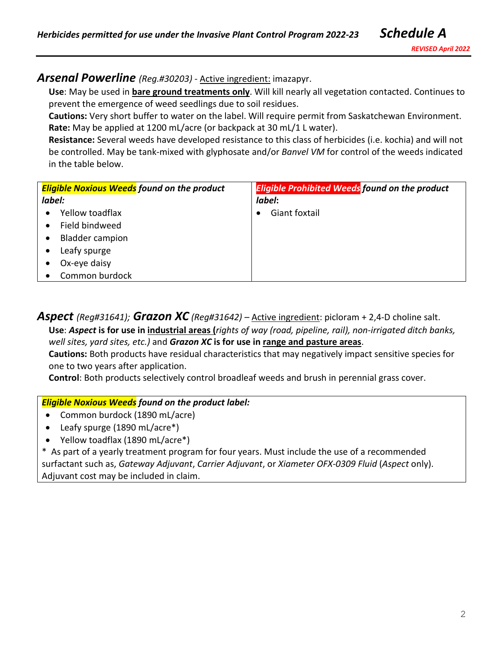#### *Arsenal Powerline (Reg.#30203)* - Active ingredient: imazapyr.

**Use**: May be used in **bare ground treatments only**. Will kill nearly all vegetation contacted. Continues to prevent the emergence of weed seedlings due to soil residues.

**Cautions:** Very short buffer to water on the label. Will require permit from Saskatchewan Environment. **Rate:** May be applied at 1200 mL/acre (or backpack at 30 mL/1 L water).

**Resistance:** Several weeds have developed resistance to this class of herbicides (i.e. kochia) and will not be controlled. May be tank-mixed with glyphosate and/or *Banvel VM* for control of the weeds indicated in the table below.

| <b>Eligible Noxious Weeds</b> found on the product | <b>Eligible Prohibited Weeds found on the product</b> |
|----------------------------------------------------|-------------------------------------------------------|
| label:                                             | label:                                                |
| Yellow toadflax                                    | Giant foxtail                                         |
| Field bindweed                                     |                                                       |
| <b>Bladder campion</b>                             |                                                       |
| Leafy spurge                                       |                                                       |
| Ox-eye daisy                                       |                                                       |
| Common burdock                                     |                                                       |

*Aspect (Reg#31641); Grazon XC (Reg#31642) –* Active ingredient: picloram + 2,4-D choline salt. **Use**: *Aspect* **is for use in industrial areas (***rights of way (road, pipeline, rail), non-irrigated ditch banks, well sites, yard sites, etc.)* and *Grazon XC* **is for use in range and pasture areas**. **Cautions:** Both products have residual characteristics that may negatively impact sensitive species for one to two years after application.

**Control**: Both products selectively control broadleaf weeds and brush in perennial grass cover.

#### *Eligible Noxious Weeds found on the product label:*

- Common burdock (1890 mL/acre)
- Leafy spurge (1890 mL/acre\*)
- Yellow toadflax (1890 mL/acre\*)

\* As part of a yearly treatment program for four years. Must include the use of a recommended surfactant such as, *Gateway Adjuvant*, *Carrier Adjuvant*, or *Xiameter OFX-0309 Fluid* (*Aspect* only). Adjuvant cost may be included in claim.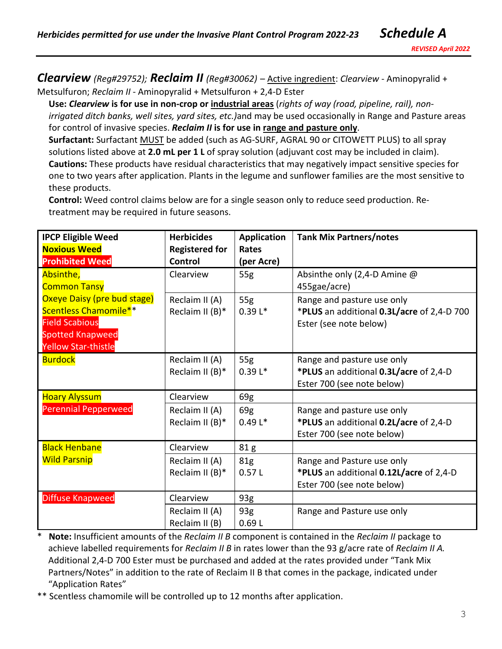*Clearview (Reg#29752); Reclaim II (Reg#30062)* – Active ingredient: *Clearview* - Aminopyralid + Metsulfuron; *Reclaim II* - Aminopyralid + Metsulfuron + 2,4-D Ester

**Use:** *Clearview* **is for use in non-crop or industrial areas** (*rights of way (road, pipeline, rail), nonirrigated ditch banks, well sites, yard sites, etc.)*and may be used occasionally in Range and Pasture areas for control of invasive species. *Reclaim II* **is for use in range and pasture only**.

**Surfactant:** Surfactant MUST be added (such as AG-SURF, AGRAL 90 or CITOWETT PLUS) to all spray solutions listed above at **2.0 mL per 1 L** of spray solution (adjuvant cost may be included in claim). **Cautions:** These products have residual characteristics that may negatively impact sensitive species for one to two years after application. Plants in the legume and sunflower families are the most sensitive to these products.

**Control:** Weed control claims below are for a single season only to reduce seed production. Retreatment may be required in future seasons.

| <b>IPCP Eligible Weed</b>                                                                                                              | <b>Herbicides</b>                    | <b>Application</b>         | <b>Tank Mix Partners/notes</b>                                                                      |
|----------------------------------------------------------------------------------------------------------------------------------------|--------------------------------------|----------------------------|-----------------------------------------------------------------------------------------------------|
| <b>Noxious Weed</b><br><b>Prohibited Weed</b>                                                                                          | <b>Registered for</b><br>Control     | <b>Rates</b><br>(per Acre) |                                                                                                     |
| Absinthe,<br><b>Common Tansy</b>                                                                                                       | Clearview                            | 55g                        | Absinthe only (2,4-D Amine @<br>455gae/acre)                                                        |
| Oxeye Daisy (pre bud stage)<br>Scentless Chamomile**<br><b>Field Scabious</b><br><b>Spotted Knapweed</b><br><b>Yellow Star-thistle</b> | Reclaim II (A)<br>Reclaim II (B)*    | 55g<br>$0.39L*$            | Range and pasture use only<br>*PLUS an additional 0.3L/acre of 2,4-D 700<br>Ester (see note below)  |
| <b>Burdock</b>                                                                                                                         | Reclaim II (A)<br>Reclaim II $(B)^*$ | 55g<br>$0.39L*$            | Range and pasture use only<br>*PLUS an additional 0.3L/acre of 2,4-D<br>Ester 700 (see note below)  |
| <b>Hoary Alyssum</b>                                                                                                                   | Clearview                            | 69g                        |                                                                                                     |
| <b>Perennial Pepperweed</b>                                                                                                            | Reclaim II (A)<br>Reclaim II $(B)^*$ | 69g<br>$0.49 L*$           | Range and pasture use only<br>*PLUS an additional 0.2L/acre of 2,4-D<br>Ester 700 (see note below)  |
| <b>Black Henbane</b>                                                                                                                   | Clearview                            | 81g                        |                                                                                                     |
| <b>Wild Parsnip</b>                                                                                                                    | Reclaim II (A)<br>Reclaim II $(B)^*$ | 81 <sub>g</sub><br>0.57L   | Range and Pasture use only<br>*PLUS an additional 0.12L/acre of 2,4-D<br>Ester 700 (see note below) |
| <b>Diffuse Knapweed</b>                                                                                                                | Clearview                            | 93g                        |                                                                                                     |
|                                                                                                                                        | Reclaim II (A)<br>Reclaim II (B)     | 93g<br>0.69L               | Range and Pasture use only                                                                          |

Note: Insufficient amounts of the *Reclaim II B* component is contained in the *Reclaim II* package to achieve labelled requirements for *Reclaim II B* in rates lower than the 93 g/acre rate of *Reclaim II A.*  Additional 2,4-D 700 Ester must be purchased and added at the rates provided under "Tank Mix Partners/Notes" in addition to the rate of Reclaim II B that comes in the package, indicated under "Application Rates"

\*\* Scentless chamomile will be controlled up to 12 months after application.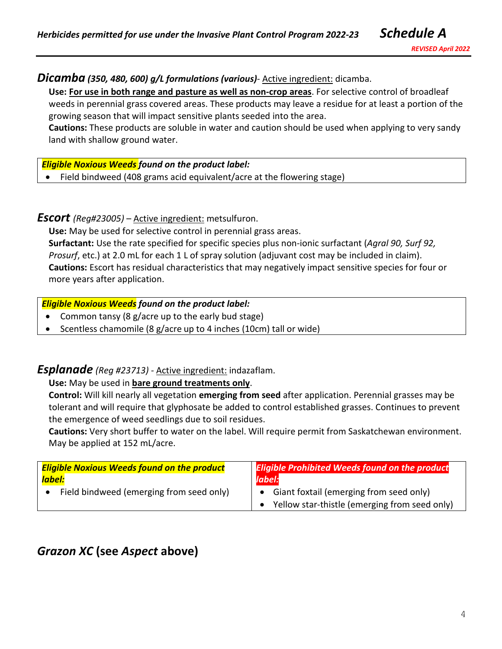# *Dicamba (350, 480, 600) g/L formulations (various)*- Active ingredient: dicamba.

**Use: For use in both range and pasture as well as non-crop areas**. For selective control of broadleaf weeds in perennial grass covered areas. These products may leave a residue for at least a portion of the growing season that will impact sensitive plants seeded into the area.

**Cautions:** These products are soluble in water and caution should be used when applying to very sandy land with shallow ground water.

### *Eligible Noxious Weeds found on the product label:*

• Field bindweed (408 grams acid equivalent/acre at the flowering stage)

## *Escort (Reg#23005)* – Active ingredient: metsulfuron.

**Use:** May be used for selective control in perennial grass areas. **Surfactant:** Use the rate specified for specific species plus non-ionic surfactant (*Agral 90, Surf 92, Prosurf*, etc.) at 2.0 mL for each 1 L of spray solution (adjuvant cost may be included in claim). **Cautions:** Escort has residual characteristics that may negatively impact sensitive species for four or more years after application.

### *Eligible Noxious Weeds found on the product label:*

- Common tansy (8 g/acre up to the early bud stage)
- Scentless chamomile (8 g/acre up to 4 inches (10cm) tall or wide)

# *Esplanade (Reg #23713) -* Active ingredient: indazaflam.

### **Use:** May be used in **bare ground treatments only**.

**Control:** Will kill nearly all vegetation **emerging from seed** after application. Perennial grasses may be tolerant and will require that glyphosate be added to control established grasses. Continues to prevent the emergence of weed seedlings due to soil residues.

**Cautions:** Very short buffer to water on the label. Will require permit from Saskatchewan environment. May be applied at 152 mL/acre.

| <b>Eligible Noxious Weeds found on the product</b> | <b>Eligible Prohibited Weeds found on the product</b>                                    |
|----------------------------------------------------|------------------------------------------------------------------------------------------|
| label:                                             | label:                                                                                   |
| Field bindweed (emerging from seed only)           | Giant foxtail (emerging from seed only)<br>Yellow star-thistle (emerging from seed only) |

# *Grazon XC* **(see** *Aspect* **above)**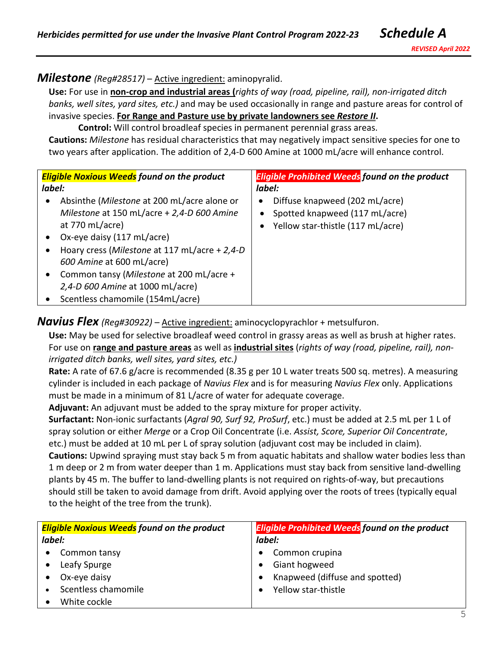## *Milestone (Reg#28517)* – Active ingredient: aminopyralid.

**Use:** For use in **non-crop and industrial areas (***rights of way (road, pipeline, rail), non-irrigated ditch banks, well sites, yard sites, etc.)* and may be used occasionally in range and pasture areas for control of invasive species. **For Range and Pasture use by private landowners see** *Restore II***.** 

**Control:** Will control broadleaf species in permanent perennial grass areas.

**Cautions:** *Milestone* has residual characteristics that may negatively impact sensitive species for one to two years after application. The addition of 2,4-D 600 Amine at 1000 mL/acre will enhance control.

|           | <b>Eligible Noxious Weeds</b> found on the product                                        | <b>Eligible Prohibited Weeds found on the product</b>                 |
|-----------|-------------------------------------------------------------------------------------------|-----------------------------------------------------------------------|
| label:    |                                                                                           | label:                                                                |
| $\bullet$ | Absinthe (Milestone at 200 mL/acre alone or<br>Milestone at 150 mL/acre + 2,4-D 600 Amine | Diffuse knapweed (202 mL/acre)<br>٠<br>Spotted knapweed (117 mL/acre) |
|           | at $770$ mL/acre)                                                                         | • Yellow star-thistle (117 mL/acre)                                   |
| $\bullet$ | Ox-eye daisy (117 mL/acre)                                                                |                                                                       |
| ٠         | Hoary cress (Milestone at 117 mL/acre + 2,4-D                                             |                                                                       |
|           | 600 Amine at 600 mL/acre)                                                                 |                                                                       |
| $\bullet$ | Common tansy (Milestone at 200 mL/acre +                                                  |                                                                       |
|           | 2,4-D 600 Amine at 1000 mL/acre)                                                          |                                                                       |
| $\bullet$ | Scentless chamomile (154mL/acre)                                                          |                                                                       |

*Navius Flex (Reg#30922) - Active ingredient: aminocyclopyrachlor + metsulfuron.* 

**Use:** May be used for selective broadleaf weed control in grassy areas as well as brush at higher rates. For use on **range and pasture areas** as well as **industrial sites** (*rights of way (road, pipeline, rail), nonirrigated ditch banks, well sites, yard sites, etc.)*

**Rate:** A rate of 67.6 g/acre is recommended (8.35 g per 10 L water treats 500 sq. metres). A measuring cylinder is included in each package of *Navius Flex* and is for measuring *Navius Flex* only. Applications must be made in a minimum of 81 L/acre of water for adequate coverage.

**Adjuvant:** An adjuvant must be added to the spray mixture for proper activity.

**Surfactant:** Non-ionic surfactants (*Agral 90, Surf 92, ProSurf*, etc.) must be added at 2.5 mL per 1 L of spray solution or either *Merge* or a Crop Oil Concentrate (i.e. *Assist, Score, Superior Oil Concentrate*, etc.) must be added at 10 mL per L of spray solution (adjuvant cost may be included in claim). **Cautions:** Upwind spraying must stay back 5 m from aquatic habitats and shallow water bodies less than 1 m deep or 2 m from water deeper than 1 m. Applications must stay back from sensitive land-dwelling plants by 45 m. The buffer to land-dwelling plants is not required on rights-of-way, but precautions should still be taken to avoid damage from drift. Avoid applying over the roots of trees (typically equal to the height of the tree from the trunk).

| <b>Eligible Noxious Weeds found on the product</b> | <b>Eligible Prohibited Weeds found on the product</b> |
|----------------------------------------------------|-------------------------------------------------------|
| label:                                             | label:                                                |
| Common tansy<br>$\bullet$                          | Common crupina                                        |
| Leafy Spurge                                       | Giant hogweed                                         |
| Ox-eye daisy                                       | Knapweed (diffuse and spotted)                        |
| Scentless chamomile                                | Yellow star-thistle                                   |
| White cockle                                       |                                                       |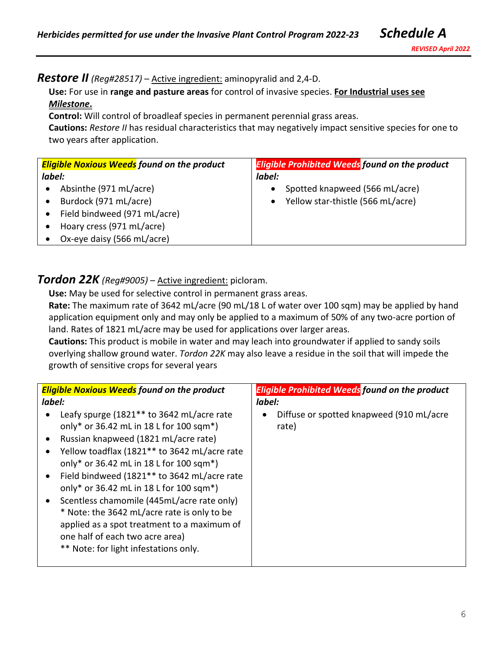#### *Restore II (Reg#28517)* – Active ingredient: aminopyralid and 2,4-D.

**Use:** For use in **range and pasture areas** for control of invasive species. **For Industrial uses see**  *Milestone***.**

**Control:** Will control of broadleaf species in permanent perennial grass areas.

**Cautions:** *Restore II* has residual characteristics that may negatively impact sensitive species for one to two years after application.

| <b>Eligible Noxious Weeds found on the product</b> | <b>Eligible Prohibited Weeds found on the product</b> |
|----------------------------------------------------|-------------------------------------------------------|
| label:                                             | label:                                                |
| Absinthe (971 mL/acre)                             | Spotted knapweed (566 mL/acre)<br>$\bullet$           |
| Burdock (971 mL/acre)                              | • Yellow star-thistle (566 mL/acre)                   |
| Field bindweed (971 mL/acre)                       |                                                       |
| Hoary cress (971 mL/acre)                          |                                                       |
| Ox-eye daisy (566 mL/acre)                         |                                                       |

#### *Tordon 22K (Reg#9005)* – Active ingredient: picloram.

**Use:** May be used for selective control in permanent grass areas.

**Rate:** The maximum rate of 3642 mL/acre (90 mL/18 L of water over 100 sqm) may be applied by hand application equipment only and may only be applied to a maximum of 50% of any two-acre portion of land. Rates of 1821 mL/acre may be used for applications over larger areas.

**Cautions:** This product is mobile in water and may leach into groundwater if applied to sandy soils overlying shallow ground water. *Tordon 22K* may also leave a residue in the soil that will impede the growth of sensitive crops for several years

| <b>Eligible Noxious Weeds</b> found on the product                                                                                                                                                                                                                                                                                                                                                                                                                                                                                                                                                    | <b>Eligible Prohibited Weeds found on the product</b> |
|-------------------------------------------------------------------------------------------------------------------------------------------------------------------------------------------------------------------------------------------------------------------------------------------------------------------------------------------------------------------------------------------------------------------------------------------------------------------------------------------------------------------------------------------------------------------------------------------------------|-------------------------------------------------------|
| label:                                                                                                                                                                                                                                                                                                                                                                                                                                                                                                                                                                                                | label:                                                |
| Leafy spurge (1821 <sup>**</sup> to 3642 mL/acre rate<br>only* or 36.42 mL in 18 L for 100 sqm*)<br>Russian knapweed (1821 mL/acre rate)<br>٠<br>Yellow toadflax (1821 <sup>**</sup> to 3642 mL/acre rate<br>٠<br>only* or 36.42 mL in 18 L for 100 sqm*)<br>Field bindweed (1821** to 3642 mL/acre rate<br>$\bullet$<br>only* or 36.42 mL in 18 L for 100 sqm*)<br>Scentless chamomile (445mL/acre rate only)<br>$\bullet$<br>* Note: the 3642 mL/acre rate is only to be<br>applied as a spot treatment to a maximum of<br>one half of each two acre area)<br>** Note: for light infestations only. | Diffuse or spotted knapweed (910 mL/acre<br>rate)     |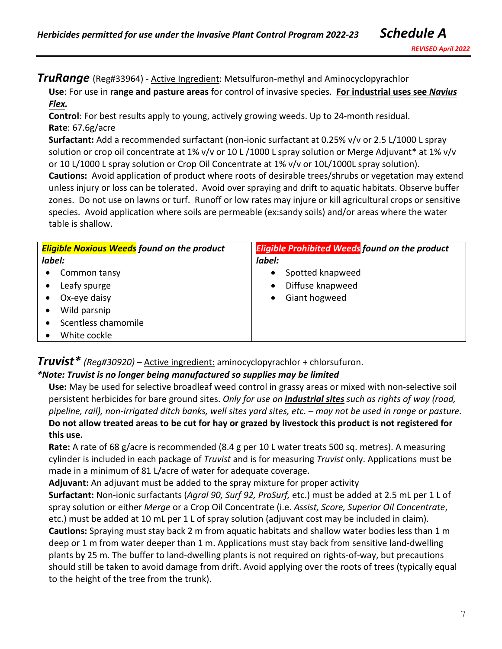**TruRange** (Reg#33964) - Active Ingredient: Metsulfuron-methyl and Aminocyclopyrachlor

**Use**: For use in **range and pasture areas** for control of invasive species. **For industrial uses see** *Navius Flex.*

**Control**: For best results apply to young, actively growing weeds. Up to 24-month residual. **Rate**: 67.6g/acre

**Surfactant:** Add a recommended surfactant (non-ionic surfactant at 0.25% v/v or 2.5 L/1000 L spray solution or crop oil concentrate at 1% v/v or 10 L /1000 L spray solution or Merge Adjuvant\* at 1% v/v or 10 L/1000 L spray solution or Crop Oil Concentrate at 1% v/v or 10L/1000L spray solution). **Cautions:** Avoid application of product where roots of desirable trees/shrubs or vegetation may extend unless injury or loss can be tolerated.Avoid over spraying and drift to aquatic habitats. Observe buffer zones. Do not use on lawns or turf.Runoff or low rates may injure or kill agricultural crops or sensitive species. Avoid application where soils are permeable (ex:sandy soils) and/or areas where the water table is shallow.

| <b>Eligible Noxious Weeds</b> found on the product | <b>Eligible Prohibited Weeds found on the product</b> |
|----------------------------------------------------|-------------------------------------------------------|
| label:                                             | label:                                                |
| Common tansy                                       | Spotted knapweed                                      |
| Leafy spurge                                       | Diffuse knapweed                                      |
| Ox-eye daisy                                       | Giant hogweed                                         |
| Wild parsnip                                       |                                                       |
| Scentless chamomile                                |                                                       |
| White cockle                                       |                                                       |

*Truvist\* (Reg#30920)* – Active ingredient: aminocyclopyrachlor + chlorsufuron.

### *\*Note: Truvist is no longer being manufactured so supplies may be limited*

**Use:** May be used for selective broadleaf weed control in grassy areas or mixed with non-selective soil persistent herbicides for bare ground sites. *Only for use on industrial sites such as rights of way (road, pipeline, rail), non-irrigated ditch banks, well sites yard sites, etc. – may not be used in range or pasture.*  **Do not allow treated areas to be cut for hay or grazed by livestock this product is not registered for this use.**

**Rate:** A rate of 68 g/acre is recommended (8.4 g per 10 L water treats 500 sq. metres). A measuring cylinder is included in each package of *Truvist* and is for measuring *Truvist* only. Applications must be made in a minimum of 81 L/acre of water for adequate coverage.

**Adjuvant:** An adjuvant must be added to the spray mixture for proper activity

**Surfactant:** Non-ionic surfactants (*Agral 90, Surf 92, ProSurf,* etc.) must be added at 2.5 mL per 1 L of spray solution or either *Merge* or a Crop Oil Concentrate (i.e. *Assist, Score, Superior Oil Concentrate*, etc.) must be added at 10 mL per 1 L of spray solution (adjuvant cost may be included in claim).

**Cautions:** Spraying must stay back 2 m from aquatic habitats and shallow water bodies less than 1 m deep or 1 m from water deeper than 1 m. Applications must stay back from sensitive land-dwelling plants by 25 m. The buffer to land-dwelling plants is not required on rights-of-way, but precautions should still be taken to avoid damage from drift. Avoid applying over the roots of trees (typically equal to the height of the tree from the trunk).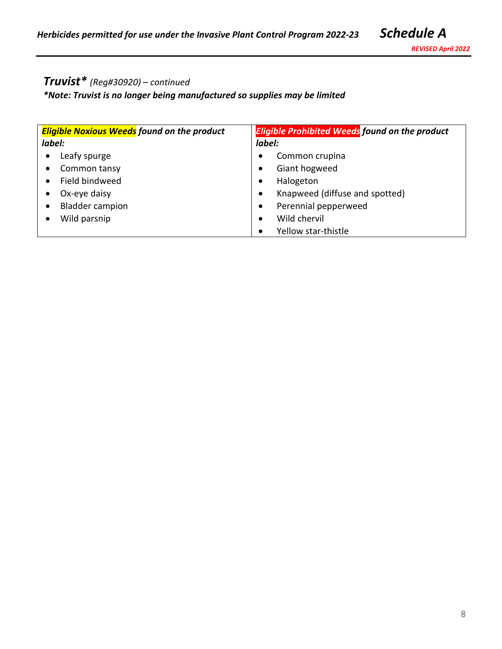# *Truvist\* (Reg#30920)* – *continued*

*\*Note: Truvist is no longer being manufactured so supplies may be limited*

| <b>Eligible Noxious Weeds</b> found on the product | <b>Eligible Prohibited Weeds found on the product</b> |
|----------------------------------------------------|-------------------------------------------------------|
| label:                                             | label:                                                |
| Leafy spurge                                       | Common crupina                                        |
| $\bullet$                                          | $\bullet$                                             |
| Common tansy                                       | Giant hogweed                                         |
| $\bullet$                                          | $\bullet$                                             |
| Field bindweed                                     | Halogeton                                             |
| $\bullet$                                          | $\bullet$                                             |
| Ox-eye daisy                                       | Knapweed (diffuse and spotted)                        |
| $\bullet$                                          | $\bullet$                                             |
| <b>Bladder campion</b>                             | Perennial pepperweed                                  |
| $\bullet$                                          | $\bullet$                                             |
| Wild parsnip                                       | Wild chervil<br>$\bullet$                             |
|                                                    | Yellow star-thistle                                   |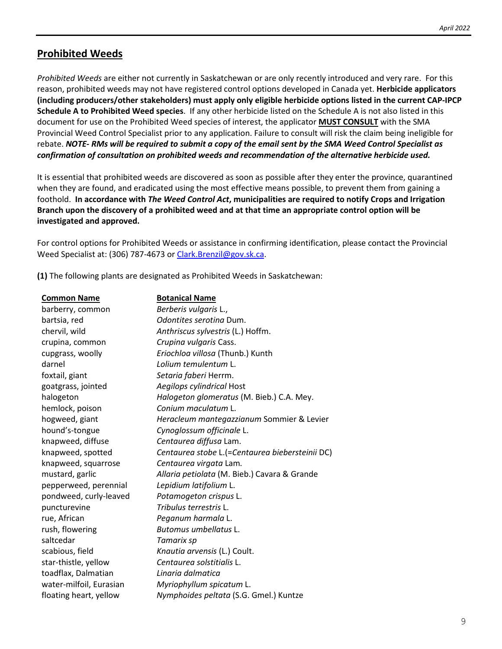#### **Prohibited Weeds**

*Prohibited Weeds* are either not currently in Saskatchewan or are only recently introduced and very rare. For this reason, prohibited weeds may not have registered control options developed in Canada yet. **Herbicide applicators (including producers/other stakeholders) must apply only eligible herbicide options listed in the current CAP-IPCP Schedule A to Prohibited Weed species**. If any other herbicide listed on the Schedule A is not also listed in this document for use on the Prohibited Weed species of interest, the applicator **MUST CONSULT** with the SMA Provincial Weed Control Specialist prior to any application. Failure to consult will risk the claim being ineligible for rebate. *NOTE- RMs will be required to submit a copy of the email sent by the SMA Weed Control Specialist as confirmation of consultation on prohibited weeds and recommendation of the alternative herbicide used.*

It is essential that prohibited weeds are discovered as soon as possible after they enter the province, quarantined when they are found, and eradicated using the most effective means possible, to prevent them from gaining a foothold. **In accordance with** *The Weed Control Act***, municipalities are required to notify Crops and Irrigation Branch upon the discovery of a prohibited weed and at that time an appropriate control option will be investigated and approved.**

For control options for Prohibited Weeds or assistance in confirming identification, please contact the Provincial Weed Specialist at: (306) 787-4673 or [Clark.Brenzil@gov.sk.ca.](mailto:Clark.Brenzil@gov.sk.ca)

**(1)** The following plants are designated as Prohibited Weeds in Saskatchewan:

| <b>Common Name</b>      | <b>Botanical Name</b>                           |
|-------------------------|-------------------------------------------------|
| barberry, common        | Berberis vulgaris L.,                           |
| bartsia, red            | Odontites seroting Dum.                         |
| chervil, wild           | Anthriscus sylvestris (L.) Hoffm.               |
| crupina, common         | Crupina vulgaris Cass.                          |
| cupgrass, woolly        | Eriochloa villosa (Thunb.) Kunth                |
| darnel                  | Lolium temulentum L.                            |
| foxtail, giant          | Setaria faberi Herrm.                           |
| goatgrass, jointed      | Aegilops cylindrical Host                       |
| halogeton               | Halogeton glomeratus (M. Bieb.) C.A. Mey.       |
| hemlock, poison         | Conium maculatum L.                             |
| hogweed, giant          | Heracleum mantegazzianum Sommier & Levier       |
| hound's-tongue          | Cynoglossum officinale L.                       |
| knapweed, diffuse       | Centaurea diffusa Lam.                          |
| knapweed, spotted       | Centaurea stobe L.(=Centaurea biebersteinii DC) |
| knapweed, squarrose     | Centaurea virgata Lam.                          |
| mustard, garlic         | Allaria petiolata (M. Bieb.) Cavara & Grande    |
| pepperweed, perennial   | Lepidium latifolium L.                          |
| pondweed, curly-leaved  | Potamogeton crispus L.                          |
| puncturevine            | Tribulus terrestris L.                          |
| rue, African            | Peganum harmala L.                              |
| rush, flowering         | Butomus umbellatus L.                           |
| saltcedar               | Tamarix sp                                      |
| scabious, field         | Knautia arvensis (L.) Coult.                    |
| star-thistle, yellow    | Centaurea solstitialis L.                       |
| toadflax, Dalmatian     | Linaria dalmatica                               |
| water-milfoil, Eurasian | Myriophyllum spicatum L.                        |
| floating heart, yellow  | Nymphoides peltata (S.G. Gmel.) Kuntze          |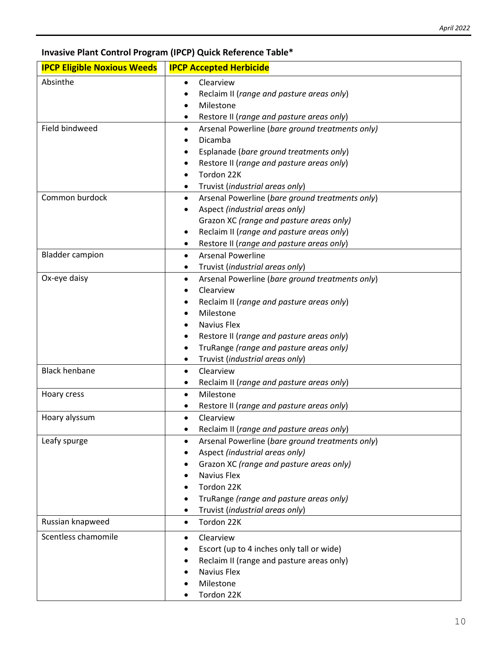**Invasive Plant Control Program (IPCP) Quick Reference Table\***

| <b>IPCP Eligible Noxious Weeds</b> | <b>IPCP Accepted Herbicide</b>                                            |
|------------------------------------|---------------------------------------------------------------------------|
| Absinthe                           | Clearview<br>$\bullet$                                                    |
|                                    | Reclaim II (range and pasture areas only)                                 |
|                                    | Milestone                                                                 |
|                                    | Restore II (range and pasture areas only)<br>٠                            |
| Field bindweed                     | Arsenal Powerline (bare ground treatments only)<br>٠                      |
|                                    | Dicamba                                                                   |
|                                    | Esplanade (bare ground treatments only)                                   |
|                                    | Restore II (range and pasture areas only)                                 |
|                                    | Tordon 22K                                                                |
|                                    | Truvist (industrial areas only)                                           |
| Common burdock                     | Arsenal Powerline (bare ground treatments only)<br>$\bullet$              |
|                                    | Aspect (industrial areas only)                                            |
|                                    | Grazon XC (range and pasture areas only)                                  |
|                                    | Reclaim II (range and pasture areas only)                                 |
| <b>Bladder campion</b>             | Restore II (range and pasture areas only)<br>٠                            |
|                                    | <b>Arsenal Powerline</b>                                                  |
| Ox-eye daisy                       | Truvist (industrial areas only)<br>٠                                      |
|                                    | Arsenal Powerline (bare ground treatments only)<br>$\bullet$<br>Clearview |
|                                    | Reclaim II (range and pasture areas only)                                 |
|                                    | Milestone                                                                 |
|                                    | Navius Flex                                                               |
|                                    | Restore II (range and pasture areas only)                                 |
|                                    | TruRange (range and pasture areas only)<br>٠                              |
|                                    | Truvist (industrial areas only)<br>٠                                      |
| <b>Black henbane</b>               | Clearview                                                                 |
|                                    | Reclaim II (range and pasture areas only)<br>٠                            |
| Hoary cress                        | Milestone<br>$\bullet$                                                    |
|                                    | Restore II (range and pasture areas only)                                 |
| Hoary alyssum                      | Clearview<br>$\bullet$                                                    |
|                                    | Reclaim II (range and pasture areas only)                                 |
| Leafy spurge                       | Arsenal Powerline (bare ground treatments only)<br>٠                      |
|                                    | Aspect (industrial areas only)                                            |
|                                    | Grazon XC (range and pasture areas only)                                  |
|                                    | Navius Flex                                                               |
|                                    | Tordon 22K                                                                |
|                                    | TruRange (range and pasture areas only)                                   |
|                                    | Truvist (industrial areas only)                                           |
| Russian knapweed                   | Tordon 22K<br>$\bullet$                                                   |
| Scentless chamomile                | Clearview<br>$\bullet$                                                    |
|                                    | Escort (up to 4 inches only tall or wide)                                 |
|                                    | Reclaim II (range and pasture areas only)                                 |
|                                    | Navius Flex                                                               |
|                                    | Milestone                                                                 |
|                                    | Tordon 22K                                                                |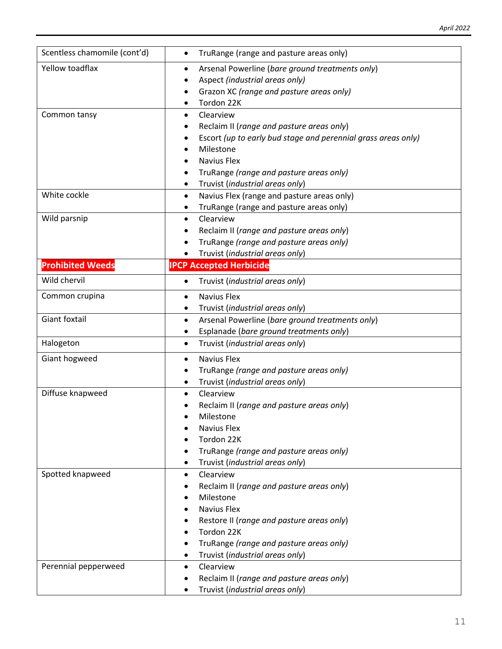| Scentless chamomile (cont'd) | TruRange (range and pasture areas only)<br>٠                                         |  |
|------------------------------|--------------------------------------------------------------------------------------|--|
| Yellow toadflax              | Arsenal Powerline (bare ground treatments only)<br>$\bullet$                         |  |
|                              | Aspect (industrial areas only)                                                       |  |
|                              | Grazon XC (range and pasture areas only)                                             |  |
|                              | Tordon 22K                                                                           |  |
| Common tansy                 | Clearview<br>$\bullet$                                                               |  |
|                              | Reclaim II (range and pasture areas only)                                            |  |
|                              | Escort (up to early bud stage and perennial grass areas only)                        |  |
|                              | Milestone                                                                            |  |
|                              | Navius Flex                                                                          |  |
|                              | TruRange (range and pasture areas only)                                              |  |
|                              | Truvist (industrial areas only)<br>٠                                                 |  |
| White cockle                 | Navius Flex (range and pasture areas only)<br>$\bullet$                              |  |
|                              | TruRange (range and pasture areas only)<br>Clearview                                 |  |
| Wild parsnip                 | $\bullet$                                                                            |  |
|                              | Reclaim II (range and pasture areas only)<br>TruRange (range and pasture areas only) |  |
|                              | Truvist (industrial areas only)                                                      |  |
| <b>Prohibited Weeds</b>      | <b>IPCP Accepted Herbicide</b>                                                       |  |
| Wild chervil                 |                                                                                      |  |
|                              | Truvist (industrial areas only)<br>$\bullet$                                         |  |
| Common crupina               | Navius Flex<br>$\bullet$                                                             |  |
|                              | Truvist (industrial areas only)<br>٠                                                 |  |
| Giant foxtail                | Arsenal Powerline (bare ground treatments only)<br>$\bullet$                         |  |
|                              | Esplanade (bare ground treatments only)<br>٠                                         |  |
| Halogeton                    | Truvist (industrial areas only)<br>$\bullet$                                         |  |
| Giant hogweed                | <b>Navius Flex</b><br>$\bullet$                                                      |  |
|                              | TruRange (range and pasture areas only)                                              |  |
|                              | Truvist (industrial areas only)                                                      |  |
| Diffuse knapweed             | Clearview                                                                            |  |
|                              | Reclaim II (range and pasture areas only)                                            |  |
|                              | Milestone<br>Navius Flex                                                             |  |
|                              | Tordon 22K                                                                           |  |
|                              | TruRange (range and pasture areas only)                                              |  |
|                              | Truvist (industrial areas only)                                                      |  |
| Spotted knapweed             | Clearview<br>$\bullet$                                                               |  |
|                              | Reclaim II (range and pasture areas only)                                            |  |
|                              | Milestone                                                                            |  |
|                              | <b>Navius Flex</b>                                                                   |  |
|                              | Restore II (range and pasture areas only)                                            |  |
|                              | Tordon 22K                                                                           |  |
|                              | TruRange (range and pasture areas only)                                              |  |
|                              | Truvist (industrial areas only)                                                      |  |
| Perennial pepperweed         | Clearview<br>$\bullet$                                                               |  |
|                              | Reclaim II (range and pasture areas only)<br>٠                                       |  |
|                              | Truvist (industrial areas only)                                                      |  |